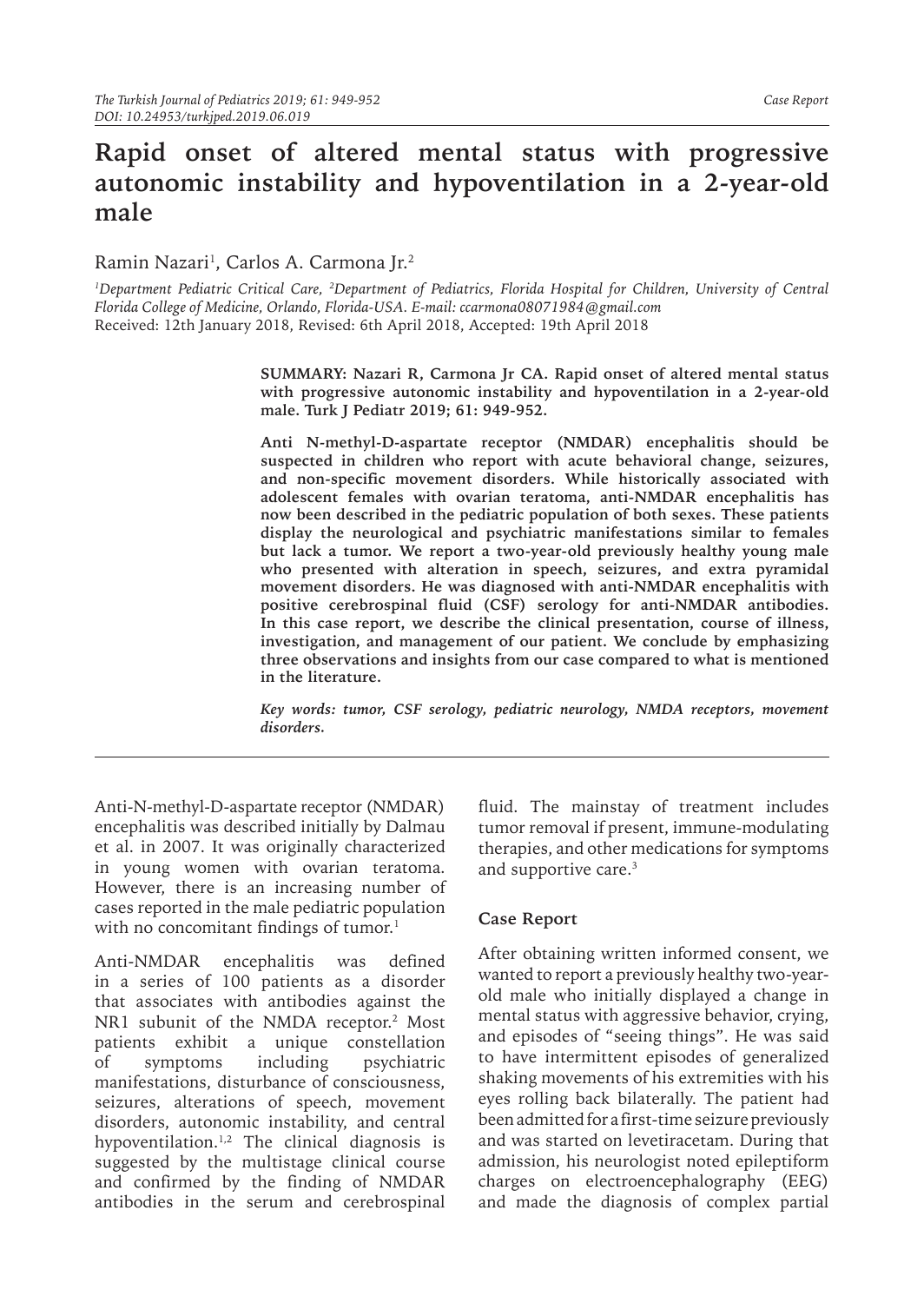## **Rapid onset of altered mental status with progressive autonomic instability and hypoventilation in a 2-year-old male**

Ramin Nazari<sup>1</sup>, Carlos A. Carmona Jr.<sup>2</sup>

<sup>1</sup>Department Pediatric Critical Care, <sup>2</sup>Department of Pediatrics, Florida Hospital for Children, University of Central *Florida College of Medicine, Orlando, Florida-USA. E-mail: ccarmona08071984@gmail.com* Received: 12th January 2018, Revised: 6th April 2018, Accepted: 19th April 2018

> **SUMMARY: Nazari R, Carmona Jr CA. Rapid onset of altered mental status with progressive autonomic instability and hypoventilation in a 2-year-old male. Turk J Pediatr 2019; 61: 949-952.**

> **Anti N-methyl-D-aspartate receptor (NMDAR) encephalitis should be suspected in children who report with acute behavioral change, seizures, and non-specific movement disorders. While historically associated with adolescent females with ovarian teratoma, anti-NMDAR encephalitis has now been described in the pediatric population of both sexes. These patients display the neurological and psychiatric manifestations similar to females but lack a tumor. We report a two-year-old previously healthy young male who presented with alteration in speech, seizures, and extra pyramidal movement disorders. He was diagnosed with anti-NMDAR encephalitis with positive cerebrospinal fluid (CSF) serology for anti-NMDAR antibodies. In this case report, we describe the clinical presentation, course of illness, investigation, and management of our patient. We conclude by emphasizing three observations and insights from our case compared to what is mentioned in the literature.**

> *Key words: tumor, CSF serology, pediatric neurology, NMDA receptors, movement disorders.*

Anti-N-methyl-D-aspartate receptor (NMDAR) encephalitis was described initially by Dalmau et al. in 2007. It was originally characterized in young women with ovarian teratoma. However, there is an increasing number of cases reported in the male pediatric population with no concomitant findings of tumor.<sup>1</sup>

Anti-NMDAR encephalitis was defined in a series of 100 patients as a disorder that associates with antibodies against the NR1 subunit of the NMDA receptor.<sup>2</sup> Most patients exhibit a unique constellation of symptoms including psychiatric manifestations, disturbance of consciousness, seizures, alterations of speech, movement disorders, autonomic instability, and central hypoventilation.<sup>1,2</sup> The clinical diagnosis is suggested by the multistage clinical course and confirmed by the finding of NMDAR antibodies in the serum and cerebrospinal

fluid. The mainstay of treatment includes tumor removal if present, immune-modulating therapies, and other medications for symptoms and supportive care.3

## **Case Report**

After obtaining written informed consent, we wanted to report a previously healthy two-yearold male who initially displayed a change in mental status with aggressive behavior, crying, and episodes of "seeing things". He was said to have intermittent episodes of generalized shaking movements of his extremities with his eyes rolling back bilaterally. The patient had been admitted for a first-time seizure previously and was started on levetiracetam. During that admission, his neurologist noted epileptiform charges on electroencephalography (EEG) and made the diagnosis of complex partial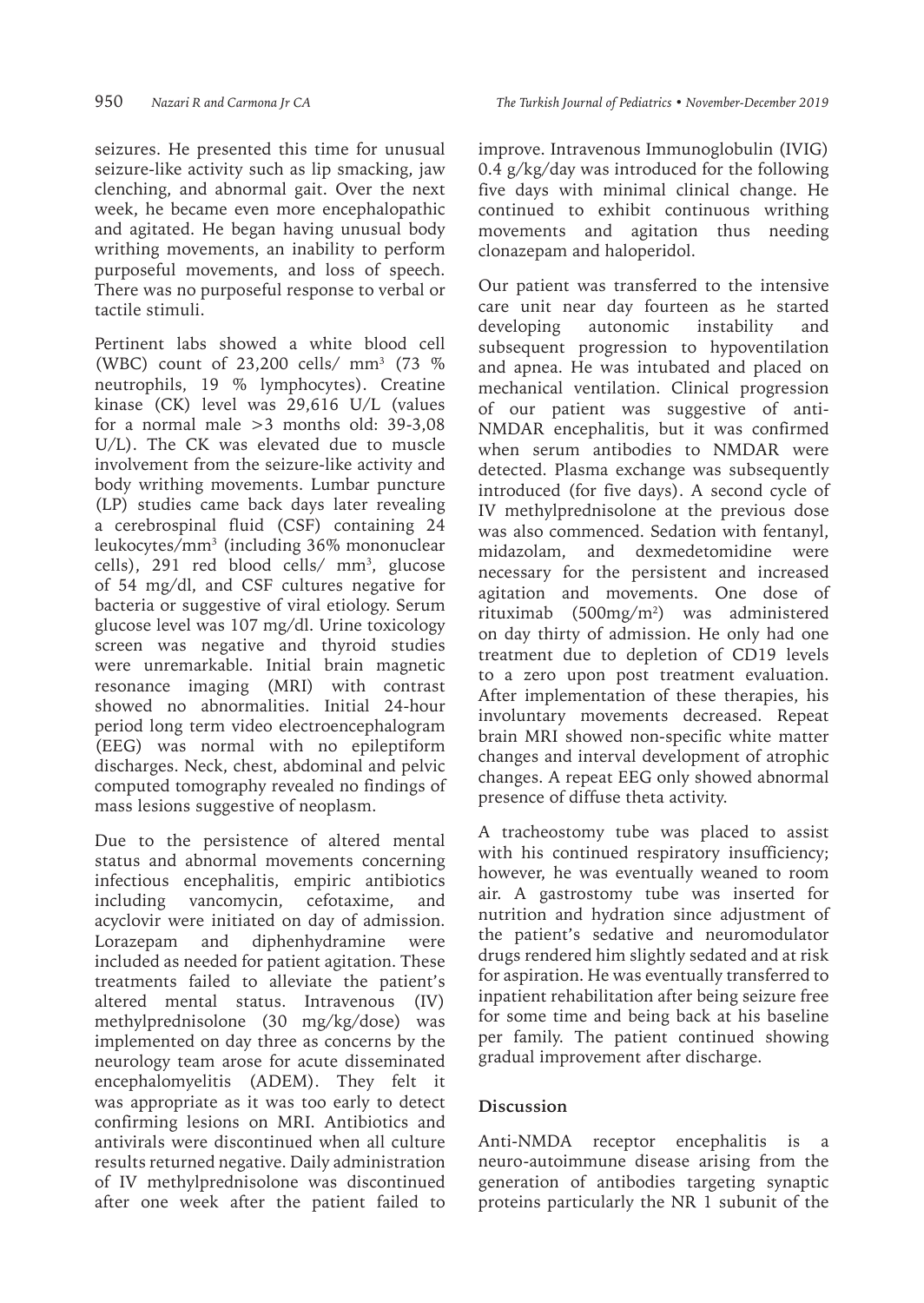seizures. He presented this time for unusual seizure-like activity such as lip smacking, jaw clenching, and abnormal gait. Over the next week, he became even more encephalopathic and agitated. He began having unusual body writhing movements, an inability to perform purposeful movements, and loss of speech. There was no purposeful response to verbal or tactile stimuli.

Pertinent labs showed a white blood cell (WBC) count of 23,200 cells/ mm3 (73 % neutrophils, 19 % lymphocytes). Creatine kinase (CK) level was 29,616 U/L (values for a normal male  $>3$  months old: 39-3.08 U/L). The CK was elevated due to muscle involvement from the seizure-like activity and body writhing movements. Lumbar puncture (LP) studies came back days later revealing a cerebrospinal fluid (CSF) containing 24 leukocytes/mm3 (including 36% mononuclear cells), 291 red blood cells/ mm<sup>3</sup>, glucose of 54 mg/dl, and CSF cultures negative for bacteria or suggestive of viral etiology. Serum glucose level was 107 mg/dl. Urine toxicology screen was negative and thyroid studies were unremarkable. Initial brain magnetic resonance imaging (MRI) with contrast showed no abnormalities. Initial 24-hour period long term video electroencephalogram (EEG) was normal with no epileptiform discharges. Neck, chest, abdominal and pelvic computed tomography revealed no findings of mass lesions suggestive of neoplasm.

Due to the persistence of altered mental status and abnormal movements concerning infectious encephalitis, empiric antibiotics including vancomycin, cefotaxime, and acyclovir were initiated on day of admission. Lorazepam and diphenhydramine were included as needed for patient agitation. These treatments failed to alleviate the patient's altered mental status. Intravenous (IV) methylprednisolone (30 mg/kg/dose) was implemented on day three as concerns by the neurology team arose for acute disseminated encephalomyelitis (ADEM). They felt it was appropriate as it was too early to detect confirming lesions on MRI. Antibiotics and antivirals were discontinued when all culture results returned negative. Daily administration of IV methylprednisolone was discontinued after one week after the patient failed to

improve. Intravenous Immunoglobulin (IVIG) 0.4 g/kg/day was introduced for the following five days with minimal clinical change. He continued to exhibit continuous writhing movements and agitation thus needing clonazepam and haloperidol.

Our patient was transferred to the intensive care unit near day fourteen as he started developing autonomic instability and subsequent progression to hypoventilation and apnea. He was intubated and placed on mechanical ventilation. Clinical progression of our patient was suggestive of anti-NMDAR encephalitis, but it was confirmed when serum antibodies to NMDAR were detected. Plasma exchange was subsequently introduced (for five days). A second cycle of IV methylprednisolone at the previous dose was also commenced. Sedation with fentanyl, midazolam, and dexmedetomidine were necessary for the persistent and increased agitation and movements. One dose of rituximab (500mg/m2 ) was administered on day thirty of admission. He only had one treatment due to depletion of CD19 levels to a zero upon post treatment evaluation. After implementation of these therapies, his involuntary movements decreased. Repeat brain MRI showed non-specific white matter changes and interval development of atrophic changes. A repeat EEG only showed abnormal presence of diffuse theta activity.

A tracheostomy tube was placed to assist with his continued respiratory insufficiency; however, he was eventually weaned to room air. A gastrostomy tube was inserted for nutrition and hydration since adjustment of the patient's sedative and neuromodulator drugs rendered him slightly sedated and at risk for aspiration. He was eventually transferred to inpatient rehabilitation after being seizure free for some time and being back at his baseline per family. The patient continued showing gradual improvement after discharge.

## **Discussion**

Anti-NMDA receptor encephalitis is a neuro-autoimmune disease arising from the generation of antibodies targeting synaptic proteins particularly the NR 1 subunit of the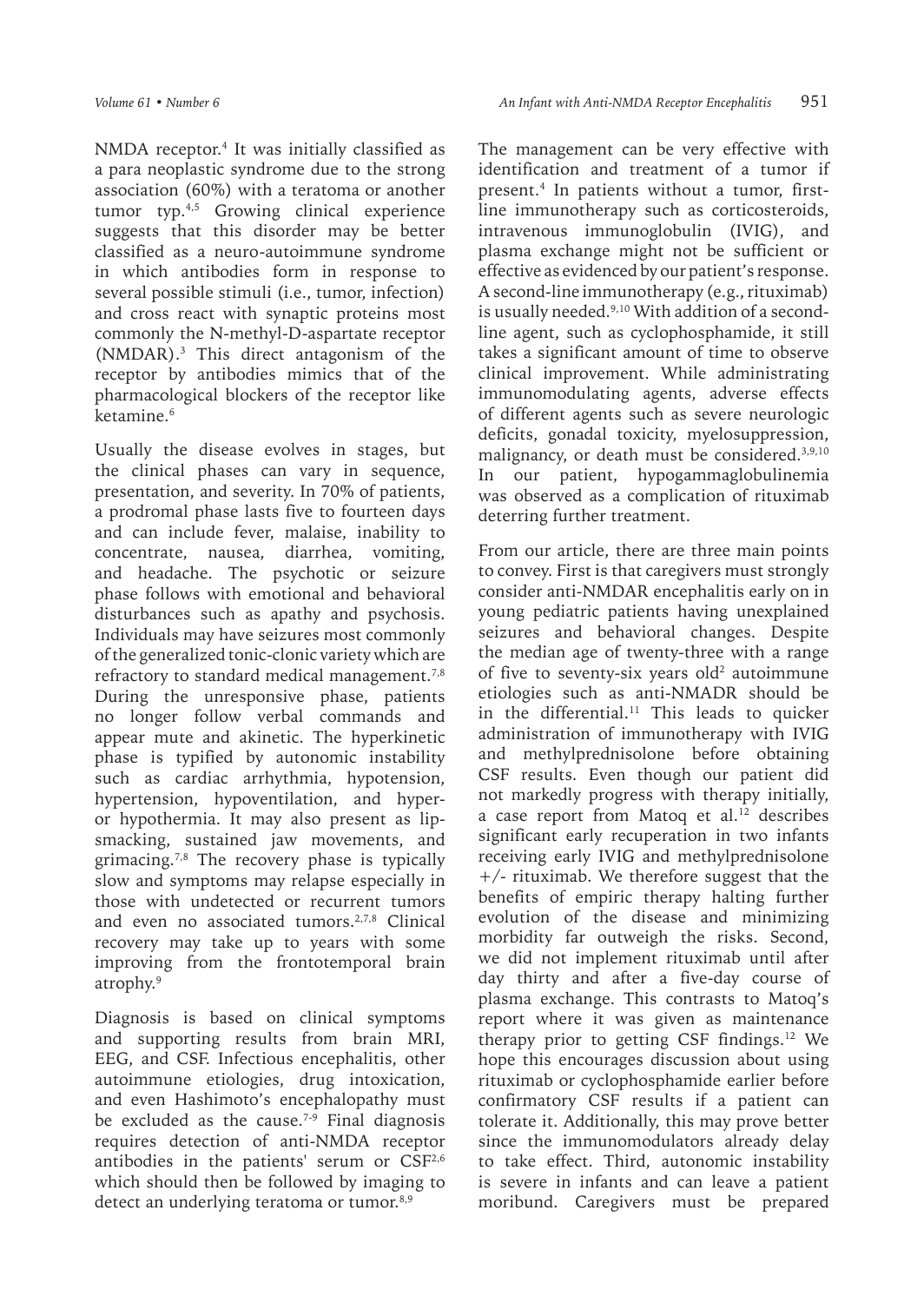NMDA receptor.4 It was initially classified as a para neoplastic syndrome due to the strong association (60%) with a teratoma or another tumor typ.<sup>4,5</sup> Growing clinical experience suggests that this disorder may be better classified as a neuro-autoimmune syndrome in which antibodies form in response to several possible stimuli (i.e., tumor, infection) and cross react with synaptic proteins most commonly the N-methyl-D-aspartate receptor (NMDAR).3 This direct antagonism of the receptor by antibodies mimics that of the pharmacological blockers of the receptor like ketamine.<sup>6</sup>

Usually the disease evolves in stages, but the clinical phases can vary in sequence, presentation, and severity. In 70% of patients, a prodromal phase lasts five to fourteen days and can include fever, malaise, inability to concentrate, nausea, diarrhea, vomiting, and headache. The psychotic or seizure phase follows with emotional and behavioral disturbances such as apathy and psychosis. Individuals may have seizures most commonly of the generalized tonic-clonic variety which are refractory to standard medical management.<sup>7,8</sup> During the unresponsive phase, patients no longer follow verbal commands and appear mute and akinetic. The hyperkinetic phase is typified by autonomic instability such as cardiac arrhythmia, hypotension, hypertension, hypoventilation, and hyperor hypothermia. It may also present as lipsmacking, sustained jaw movements, and grimacing.<sup>7,8</sup> The recovery phase is typically slow and symptoms may relapse especially in those with undetected or recurrent tumors and even no associated tumors.<sup>2,7,8</sup> Clinical recovery may take up to years with some improving from the frontotemporal brain atrophy.9

Diagnosis is based on clinical symptoms and supporting results from brain MRI, EEG, and CSF. Infectious encephalitis, other autoimmune etiologies, drug intoxication, and even Hashimoto's encephalopathy must be excluded as the cause.<sup> $7-9$ </sup> Final diagnosis requires detection of anti-NMDA receptor antibodies in the patients' serum or CSF<sup>2,6</sup> which should then be followed by imaging to detect an underlying teratoma or tumor.<sup>8,9</sup>

The management can be very effective with identification and treatment of a tumor if present.4 In patients without a tumor, firstline immunotherapy such as corticosteroids, intravenous immunoglobulin (IVIG), and plasma exchange might not be sufficient or effective as evidenced by our patient's response. A second-line immunotherapy (e.g., rituximab) is usually needed.<sup>9,10</sup> With addition of a secondline agent, such as cyclophosphamide, it still takes a significant amount of time to observe clinical improvement. While administrating immunomodulating agents, adverse effects of different agents such as severe neurologic deficits, gonadal toxicity, myelosuppression, malignancy, or death must be considered.3,9,10 In our patient, hypogammaglobulinemia was observed as a complication of rituximab deterring further treatment.

From our article, there are three main points to convey. First is that caregivers must strongly consider anti-NMDAR encephalitis early on in young pediatric patients having unexplained seizures and behavioral changes. Despite the median age of twenty-three with a range of five to seventy-six years old<sup>2</sup> autoimmune etiologies such as anti-NMADR should be in the differential.<sup>11</sup> This leads to quicker administration of immunotherapy with IVIG and methylprednisolone before obtaining CSF results. Even though our patient did not markedly progress with therapy initially, a case report from Matoq et al.<sup>12</sup> describes significant early recuperation in two infants receiving early IVIG and methylprednisolone +/- rituximab. We therefore suggest that the benefits of empiric therapy halting further evolution of the disease and minimizing morbidity far outweigh the risks. Second, we did not implement rituximab until after day thirty and after a five-day course of plasma exchange. This contrasts to Matoq's report where it was given as maintenance therapy prior to getting CSF findings.12 We hope this encourages discussion about using rituximab or cyclophosphamide earlier before confirmatory CSF results if a patient can tolerate it. Additionally, this may prove better since the immunomodulators already delay to take effect. Third, autonomic instability is severe in infants and can leave a patient moribund. Caregivers must be prepared